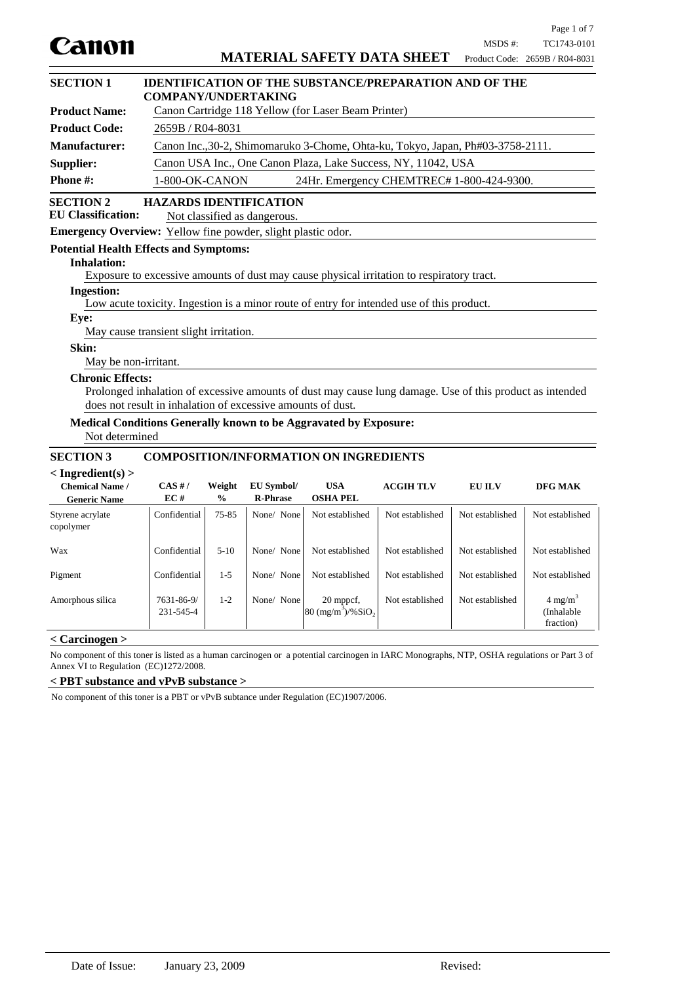|                                                                     |                                                                                                                              |                                                                                |                               |                                                                                                          |                 |                 | Page 1 of 7                                   |
|---------------------------------------------------------------------|------------------------------------------------------------------------------------------------------------------------------|--------------------------------------------------------------------------------|-------------------------------|----------------------------------------------------------------------------------------------------------|-----------------|-----------------|-----------------------------------------------|
| Canon                                                               |                                                                                                                              |                                                                                |                               | <b>MATERIAL SAFETY DATA SHEET</b>                                                                        |                 | MSDS #:         | TC1743-0101<br>Product Code: 2659B / R04-8031 |
|                                                                     |                                                                                                                              |                                                                                |                               |                                                                                                          |                 |                 |                                               |
| <b>SECTION 1</b>                                                    | <b>IDENTIFICATION OF THE SUBSTANCE/PREPARATION AND OF THE</b>                                                                |                                                                                |                               |                                                                                                          |                 |                 |                                               |
| <b>Product Name:</b>                                                | <b>COMPANY/UNDERTAKING</b><br>Canon Cartridge 118 Yellow (for Laser Beam Printer)                                            |                                                                                |                               |                                                                                                          |                 |                 |                                               |
| <b>Product Code:</b>                                                | 2659B / R04-8031                                                                                                             |                                                                                |                               |                                                                                                          |                 |                 |                                               |
| <b>Manufacturer:</b>                                                |                                                                                                                              |                                                                                |                               |                                                                                                          |                 |                 |                                               |
| Supplier:                                                           |                                                                                                                              | Canon Inc., 30-2, Shimomaruko 3-Chome, Ohta-ku, Tokyo, Japan, Ph#03-3758-2111. |                               |                                                                                                          |                 |                 |                                               |
| Phone #:                                                            | Canon USA Inc., One Canon Plaza, Lake Success, NY, 11042, USA<br>1-800-OK-CANON<br>24Hr. Emergency CHEMTREC# 1-800-424-9300. |                                                                                |                               |                                                                                                          |                 |                 |                                               |
| <b>SECTION 2</b><br><b>EU Classification:</b>                       | <b>HAZARDS IDENTIFICATION</b>                                                                                                |                                                                                | Not classified as dangerous.  |                                                                                                          |                 |                 |                                               |
| <b>Emergency Overview:</b> Yellow fine powder, slight plastic odor. |                                                                                                                              |                                                                                |                               |                                                                                                          |                 |                 |                                               |
| <b>Potential Health Effects and Symptoms:</b>                       |                                                                                                                              |                                                                                |                               |                                                                                                          |                 |                 |                                               |
| <b>Inhalation:</b>                                                  |                                                                                                                              |                                                                                |                               |                                                                                                          |                 |                 |                                               |
| <b>Ingestion:</b>                                                   |                                                                                                                              |                                                                                |                               | Exposure to excessive amounts of dust may cause physical irritation to respiratory tract.                |                 |                 |                                               |
|                                                                     |                                                                                                                              |                                                                                |                               | Low acute toxicity. Ingestion is a minor route of entry for intended use of this product.                |                 |                 |                                               |
| Eye:                                                                |                                                                                                                              |                                                                                |                               |                                                                                                          |                 |                 |                                               |
|                                                                     | May cause transient slight irritation.                                                                                       |                                                                                |                               |                                                                                                          |                 |                 |                                               |
| Skin:                                                               |                                                                                                                              |                                                                                |                               |                                                                                                          |                 |                 |                                               |
| May be non-irritant.<br><b>Chronic Effects:</b>                     |                                                                                                                              |                                                                                |                               |                                                                                                          |                 |                 |                                               |
|                                                                     |                                                                                                                              |                                                                                |                               | Prolonged inhalation of excessive amounts of dust may cause lung damage. Use of this product as intended |                 |                 |                                               |
|                                                                     | does not result in inhalation of excessive amounts of dust.                                                                  |                                                                                |                               |                                                                                                          |                 |                 |                                               |
| Not determined                                                      |                                                                                                                              |                                                                                |                               | Medical Conditions Generally known to be Aggravated by Exposure:                                         |                 |                 |                                               |
| <b>SECTION 3</b>                                                    |                                                                                                                              |                                                                                |                               | <b>COMPOSITION/INFORMATION ON INGREDIENTS</b>                                                            |                 |                 |                                               |
| $<$ Ingredient(s) $>$                                               |                                                                                                                              |                                                                                |                               |                                                                                                          |                 |                 |                                               |
| <b>Chemical Name /</b><br><b>Generic Name</b>                       | CAS H/<br>EC#                                                                                                                | Weight<br>$\frac{0}{0}$                                                        | EU Symbol/<br><b>R-Phrase</b> | <b>USA</b><br><b>OSHA PEL</b>                                                                            | <b>ACGIHTLV</b> | <b>EU ILV</b>   | DFG MAK                                       |
| Styrene acrylate<br>copolymer                                       | Confidential                                                                                                                 | 75-85                                                                          | None/ None                    | Not established                                                                                          | Not established | Not established | Not established                               |
| Wax                                                                 | Confidential                                                                                                                 | $5 - 10$                                                                       | None/ None                    | Not established                                                                                          | Not established | Not established | Not established                               |
| Pigment                                                             | Confidential                                                                                                                 | $1 - 5$                                                                        | None/ None                    | Not established                                                                                          | Not established | Not established | Not established                               |
| Amorphous silica                                                    | 7631-86-9/<br>231-545-4                                                                                                      | $1 - 2$                                                                        | None/ None                    | 20 mppcf,<br>$80 \frac{(mg/m^3)}{96}$ SiO <sub>2</sub>                                                   | Not established | Not established | $4 \text{ mg/m}^3$<br>(Inhalable<br>fraction) |

# **< Carcinogen >**

No component of this toner is listed as a human carcinogen or a potential carcinogen in IARC Monographs, NTP, OSHA regulations or Part 3 of Annex VI to Regulation (EC)1272/2008.

# **< PBT substance and vPvB substance >**

No component of this toner is a PBT or vPvB subtance under Regulation (EC)1907/2006.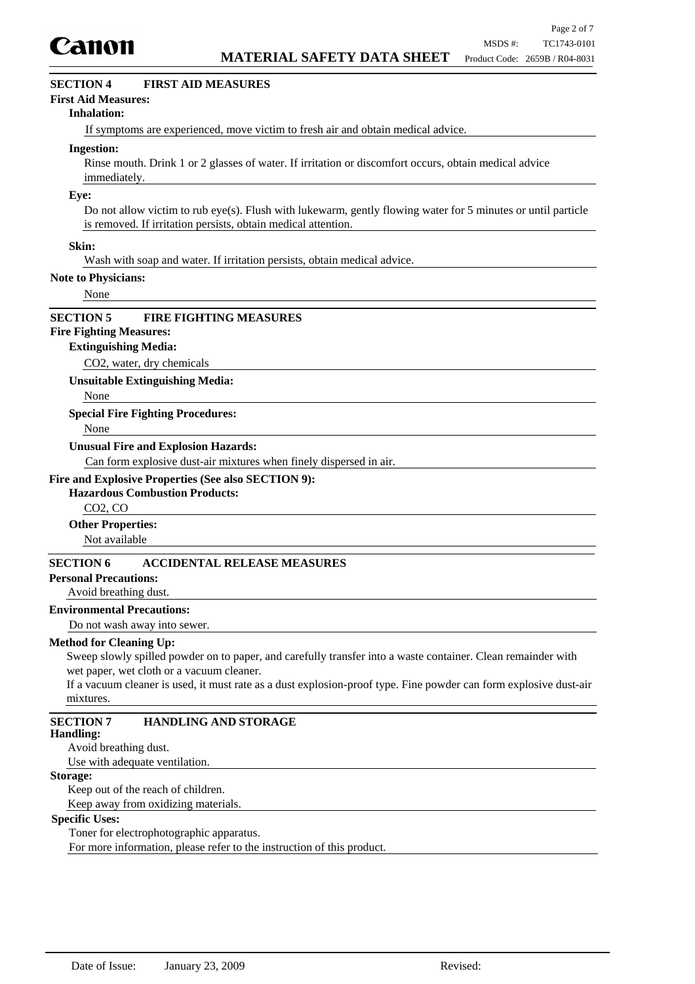

# **SECTION 4 FIRST AID MEASURES**

### **First Aid Measures:**

#### **Inhalation:**

If symptoms are experienced, move victim to fresh air and obtain medical advice.

#### **Ingestion:**

Rinse mouth. Drink 1 or 2 glasses of water. If irritation or discomfort occurs, obtain medical advice immediately.

#### **Eye:**

Do not allow victim to rub eye(s). Flush with lukewarm, gently flowing water for 5 minutes or until particle is removed. If irritation persists, obtain medical attention.

### **Skin:**

Wash with soap and water. If irritation persists, obtain medical advice.

#### **Note to Physicians:**

None

## **SECTION 5 FIRE FIGHTING MEASURES**

# **Fire Fighting Measures:**

#### **Extinguishing Media:**

CO2, water, dry chemicals

**Unsuitable Extinguishing Media:**

None

### **Special Fire Fighting Procedures:**

None

### **Unusual Fire and Explosion Hazards:**

Can form explosive dust-air mixtures when finely dispersed in air.

## **Fire and Explosive Properties (See also SECTION 9):**

## **Hazardous Combustion Products:**

CO2, CO

**Other Properties:**

Not available

# **SECTION 6 ACCIDENTAL RELEASE MEASURES**

## **Personal Precautions:**

Avoid breathing dust.

## **Environmental Precautions:**

Do not wash away into sewer.

#### **Method for Cleaning Up:**

Sweep slowly spilled powder on to paper, and carefully transfer into a waste container. Clean remainder with wet paper, wet cloth or a vacuum cleaner.

If a vacuum cleaner is used, it must rate as a dust explosion-proof type. Fine powder can form explosive dust-air mixtures.

# **SECTION 7 HANDLING AND STORAGE**

#### **Handling:**

Avoid breathing dust.

Use with adequate ventilation.

## **Storage:**

Keep out of the reach of children. Keep away from oxidizing materials.

## **Specific Uses:**

Toner for electrophotographic apparatus.

For more information, please refer to the instruction of this product.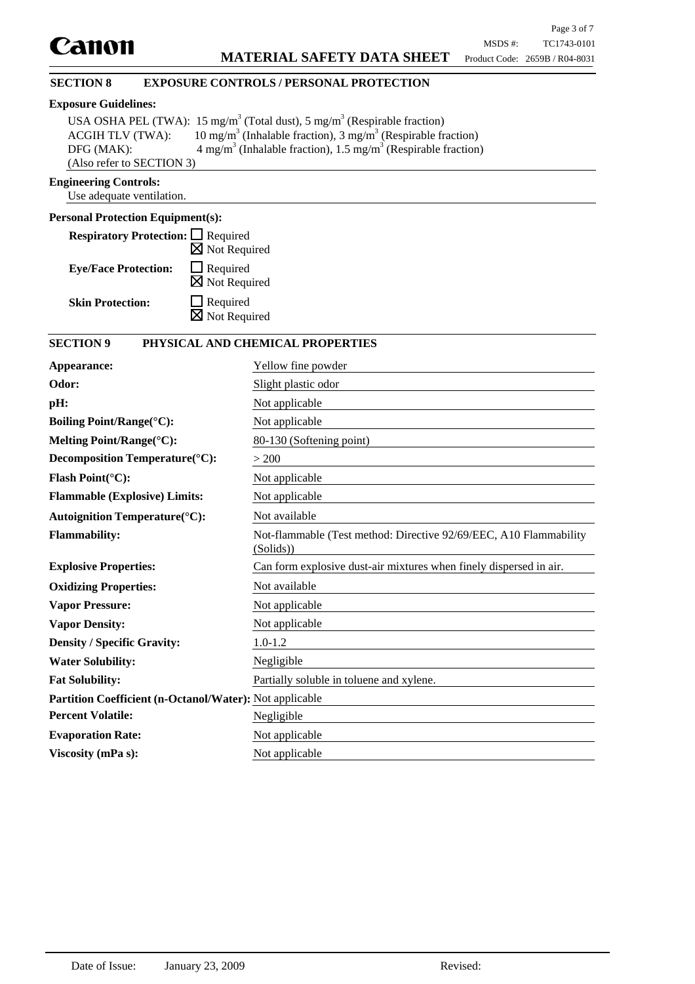## **SECTION 8 EXPOSURE CONTROLS / PERSONAL PROTECTION**

## **Exposure Guidelines:**

|                           | USA OSHA PEL (TWA): 15 mg/m <sup>3</sup> (Total dust), 5 mg/m <sup>3</sup> (Respirable fraction) |  |  |
|---------------------------|--------------------------------------------------------------------------------------------------|--|--|
| <b>ACGIH TLV (TWA):</b>   | 10 mg/m <sup>3</sup> (Inhalable fraction), 3 mg/m <sup>3</sup> (Respirable fraction)             |  |  |
| DFG (MAK):                | $4 \text{ mg/m}^3$ (Inhalable fraction), 1.5 mg/m <sup>3</sup> (Respirable fraction)             |  |  |
| (Also refer to SECTION 3) |                                                                                                  |  |  |

## **Engineering Controls:**

Use adequate ventilation.

# **Personal Protection Equipment(s):**

| <b>Respiratory Protection:</b> □ Required |                                             |
|-------------------------------------------|---------------------------------------------|
|                                           | $\boxtimes$ Not Required                    |
| <b>Eye/Face Protection:</b>               | $\Box$ Required<br>$\boxtimes$ Not Required |
|                                           |                                             |
| <b>Skin Protection:</b>                   | $\Box$ Required                             |
|                                           | $\boxtimes$ Not Required                    |

# **SECTION 9 PHYSICAL AND CHEMICAL PROPERTIES**

| Appearance:                                                    | Yellow fine powder                                                             |
|----------------------------------------------------------------|--------------------------------------------------------------------------------|
| Odor:                                                          | Slight plastic odor                                                            |
| pH:                                                            | Not applicable                                                                 |
| <b>Boiling Point/Range(°C):</b>                                | Not applicable                                                                 |
| Melting Point/Range(°C):                                       | 80-130 (Softening point)                                                       |
| Decomposition Temperature(°C):                                 | > 200                                                                          |
| Flash Point $({}^{\circ}C)$ :                                  | Not applicable                                                                 |
| <b>Flammable (Explosive) Limits:</b>                           | Not applicable                                                                 |
| <b>Autoignition Temperature(°C):</b>                           | Not available                                                                  |
| <b>Flammability:</b>                                           | Not-flammable (Test method: Directive 92/69/EEC, A10 Flammability<br>(Solids)) |
| <b>Explosive Properties:</b>                                   | Can form explosive dust-air mixtures when finely dispersed in air.             |
| <b>Oxidizing Properties:</b>                                   | Not available                                                                  |
| <b>Vapor Pressure:</b>                                         | Not applicable                                                                 |
| <b>Vapor Density:</b>                                          | Not applicable                                                                 |
| <b>Density / Specific Gravity:</b>                             | $1.0 - 1.2$                                                                    |
| <b>Water Solubility:</b>                                       | Negligible                                                                     |
| <b>Fat Solubility:</b>                                         | Partially soluble in toluene and xylene.                                       |
| <b>Partition Coefficient (n-Octanol/Water):</b> Not applicable |                                                                                |
| <b>Percent Volatile:</b>                                       | Negligible                                                                     |
| <b>Evaporation Rate:</b>                                       | Not applicable                                                                 |
| Viscosity (mPa s):                                             | Not applicable                                                                 |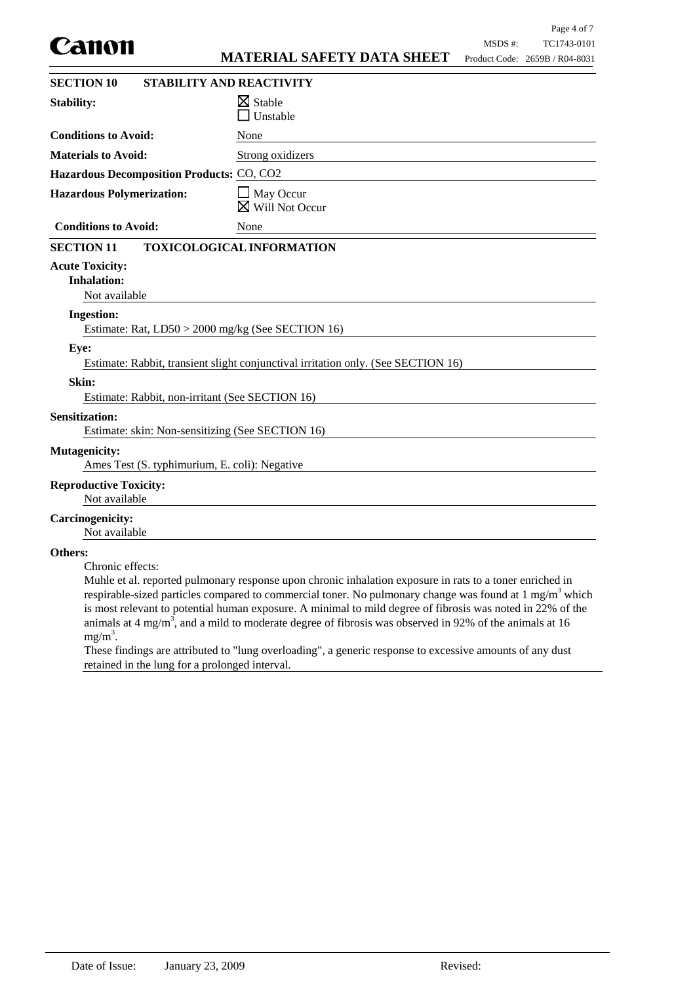|                                                                           |                                                                                                                                                                                                                                                                                                                                                                                                                                                                     |         | Page 4 of 7                    |
|---------------------------------------------------------------------------|---------------------------------------------------------------------------------------------------------------------------------------------------------------------------------------------------------------------------------------------------------------------------------------------------------------------------------------------------------------------------------------------------------------------------------------------------------------------|---------|--------------------------------|
| canon                                                                     |                                                                                                                                                                                                                                                                                                                                                                                                                                                                     | MSDS #: | TC1743-0101                    |
|                                                                           | <b>MATERIAL SAFETY DATA SHEET</b>                                                                                                                                                                                                                                                                                                                                                                                                                                   |         | Product Code: 2659B / R04-8031 |
| <b>SECTION 10</b>                                                         | <b>STABILITY AND REACTIVITY</b>                                                                                                                                                                                                                                                                                                                                                                                                                                     |         |                                |
| <b>Stability:</b>                                                         | $\boxtimes$ Stable<br>Unstable                                                                                                                                                                                                                                                                                                                                                                                                                                      |         |                                |
| <b>Conditions to Avoid:</b>                                               | None                                                                                                                                                                                                                                                                                                                                                                                                                                                                |         |                                |
| <b>Materials to Avoid:</b>                                                | Strong oxidizers                                                                                                                                                                                                                                                                                                                                                                                                                                                    |         |                                |
| Hazardous Decomposition Products: CO, CO2                                 |                                                                                                                                                                                                                                                                                                                                                                                                                                                                     |         |                                |
| <b>Hazardous Polymerization:</b>                                          | $\Box$ May Occur<br>$\boxtimes$ Will Not Occur                                                                                                                                                                                                                                                                                                                                                                                                                      |         |                                |
| <b>Conditions to Avoid:</b>                                               | None                                                                                                                                                                                                                                                                                                                                                                                                                                                                |         |                                |
| <b>SECTION 11</b>                                                         | <b>TOXICOLOGICAL INFORMATION</b>                                                                                                                                                                                                                                                                                                                                                                                                                                    |         |                                |
| <b>Acute Toxicity:</b><br><b>Inhalation:</b><br>Not available             |                                                                                                                                                                                                                                                                                                                                                                                                                                                                     |         |                                |
| <b>Ingestion:</b>                                                         |                                                                                                                                                                                                                                                                                                                                                                                                                                                                     |         |                                |
| Estimate: Rat, LD50 > 2000 mg/kg (See SECTION 16)                         |                                                                                                                                                                                                                                                                                                                                                                                                                                                                     |         |                                |
| Eye:                                                                      | Estimate: Rabbit, transient slight conjunctival irritation only. (See SECTION 16)                                                                                                                                                                                                                                                                                                                                                                                   |         |                                |
| Skin:<br>Estimate: Rabbit, non-irritant (See SECTION 16)                  |                                                                                                                                                                                                                                                                                                                                                                                                                                                                     |         |                                |
| <b>Sensitization:</b><br>Estimate: skin: Non-sensitizing (See SECTION 16) |                                                                                                                                                                                                                                                                                                                                                                                                                                                                     |         |                                |
| <b>Mutagenicity:</b><br>Ames Test (S. typhimurium, E. coli): Negative     |                                                                                                                                                                                                                                                                                                                                                                                                                                                                     |         |                                |
| <b>Reproductive Toxicity:</b><br>Not available                            |                                                                                                                                                                                                                                                                                                                                                                                                                                                                     |         |                                |
| <b>Carcinogenicity:</b><br>Not available                                  |                                                                                                                                                                                                                                                                                                                                                                                                                                                                     |         |                                |
| Others:<br>Chronic effects:<br>$mg/m^3$ .                                 | Muhle et al. reported pulmonary response upon chronic inhalation exposure in rats to a toner enriched in<br>respirable-sized particles compared to commercial toner. No pulmonary change was found at $1 \text{ mg/m}^3$ which<br>is most relevant to potential human exposure. A minimal to mild degree of fibrosis was noted in 22% of the<br>animals at 4 mg/m <sup>3</sup> , and a mild to moderate degree of fibrosis was observed in 92% of the animals at 16 |         |                                |

These findings are attributed to "lung overloading", a generic response to excessive amounts of any dust retained in the lung for a prolonged interval.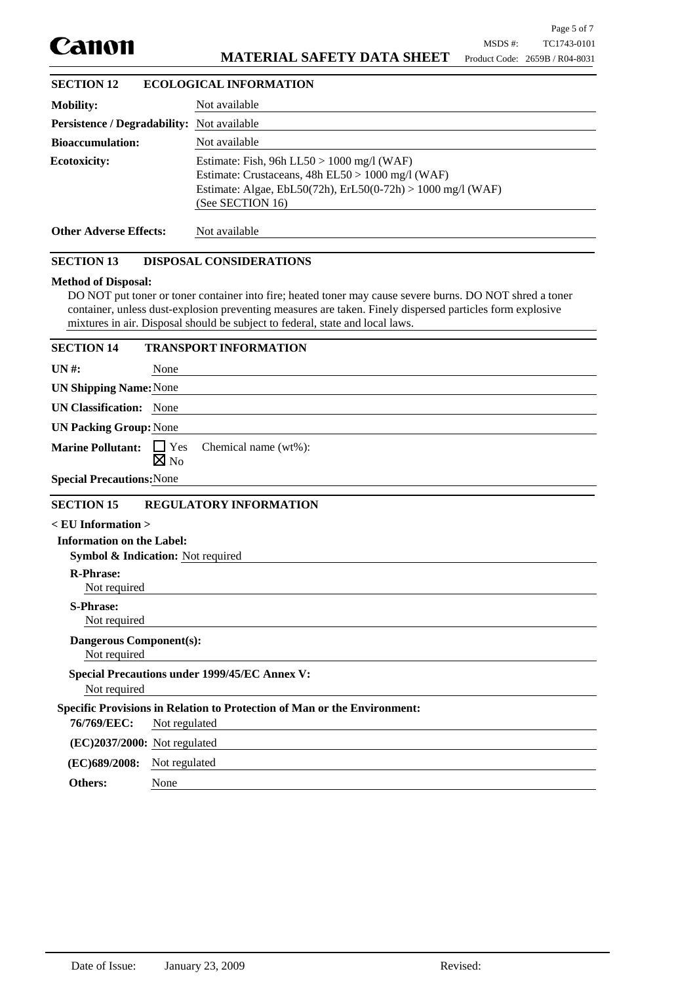

# **MATERIAL SAFETY DATA SHEET**

| <b>SECTION 12</b>                                 | <b>ECOLOGICAL INFORMATION</b>                                                                                                                                                          |
|---------------------------------------------------|----------------------------------------------------------------------------------------------------------------------------------------------------------------------------------------|
| <b>Mobility:</b>                                  | Not available                                                                                                                                                                          |
| <b>Persistence / Degradability:</b> Not available |                                                                                                                                                                                        |
| <b>Bioaccumulation:</b>                           | Not available                                                                                                                                                                          |
| <b>Ecotoxicity:</b>                               | Estimate: Fish, 96h LL50 > 1000 mg/l (WAF)<br>Estimate: Crustaceans, $48h$ EL50 > $1000$ mg/l (WAF)<br>Estimate: Algae, EbL50(72h), ErL50(0-72h) > 1000 mg/l (WAF)<br>(See SECTION 16) |
| <b>Other Adverse Effects:</b>                     | Not available                                                                                                                                                                          |

## **SECTION 13 DISPOSAL CONSIDERATIONS**

#### **Method of Disposal:**

DO NOT put toner or toner container into fire; heated toner may cause severe burns. DO NOT shred a toner container, unless dust-explosion preventing measures are taken. Finely dispersed particles form explosive mixtures in air. Disposal should be subject to federal, state and local laws.

| <b>SECTION 14</b>                              | <b>TRANSPORT INFORMATION</b>                                             |
|------------------------------------------------|--------------------------------------------------------------------------|
| $UN#$ :                                        | None                                                                     |
| <b>UN Shipping Name: None</b>                  |                                                                          |
| <b>UN Classification:</b> None                 |                                                                          |
| <b>UN Packing Group: None</b>                  |                                                                          |
| <b>Marine Pollutant:</b>                       | $\Box$ Yes<br>Chemical name (wt%):<br>$\boxtimes$ No                     |
| <b>Special Precautions: None</b>               |                                                                          |
| <b>SECTION 15</b>                              | <b>REGULATORY INFORMATION</b>                                            |
| $\le$ EU Information $>$                       |                                                                          |
| <b>Information on the Label:</b>               |                                                                          |
|                                                | Symbol & Indication: Not required                                        |
| <b>R-Phrase:</b><br>Not required               |                                                                          |
| <b>S-Phrase:</b><br>Not required               |                                                                          |
| <b>Dangerous Component(s):</b><br>Not required |                                                                          |
| Not required                                   | <b>Special Precautions under 1999/45/EC Annex V:</b>                     |
|                                                | Specific Provisions in Relation to Protection of Man or the Environment: |
| 76/769/EEC:                                    | Not regulated                                                            |
| $(EC)2037/2000$ : Not regulated                |                                                                          |
| (EC)689/2008:                                  | Not regulated                                                            |
| Others:                                        | None                                                                     |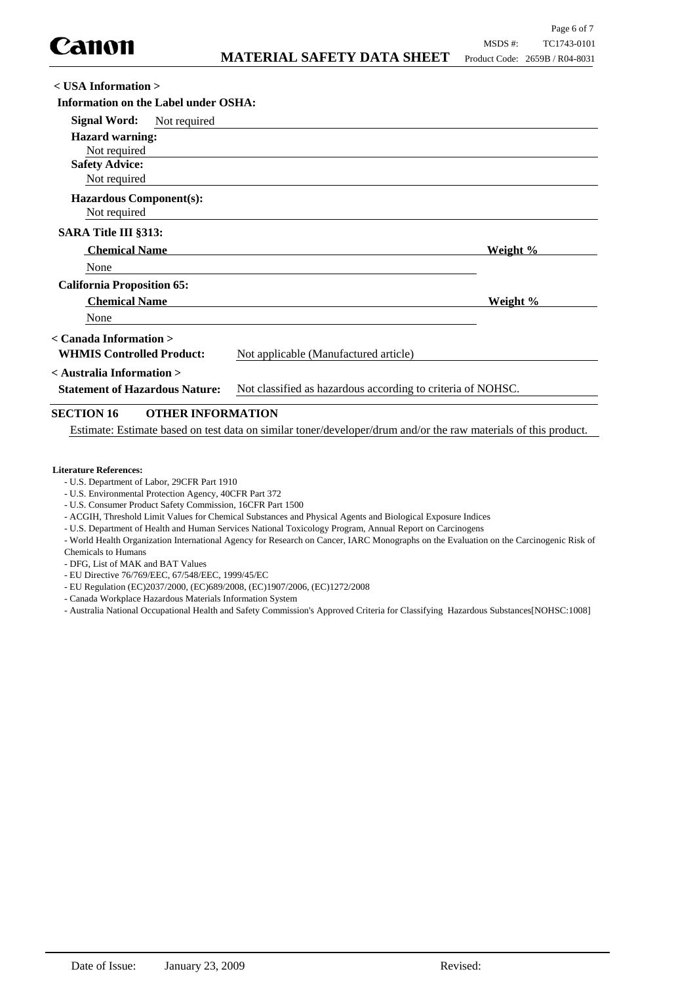| $\langle$ USA Information $\rangle$                                                                  |              |                                       |          |
|------------------------------------------------------------------------------------------------------|--------------|---------------------------------------|----------|
| Information on the Label under OSHA:                                                                 |              |                                       |          |
| Signal Word:                                                                                         | Not required |                                       |          |
| <b>Hazard warning:</b>                                                                               |              |                                       |          |
| Not required                                                                                         |              |                                       |          |
| <b>Safety Advice:</b>                                                                                |              |                                       |          |
| Not required                                                                                         |              |                                       |          |
| <b>Hazardous Component(s):</b>                                                                       |              |                                       |          |
| Not required                                                                                         |              |                                       |          |
| <b>SARA Title III §313:</b>                                                                          |              |                                       |          |
| <b>Chemical Name</b>                                                                                 |              |                                       | Weight % |
| None                                                                                                 |              |                                       |          |
| <b>California Proposition 65:</b>                                                                    |              |                                       |          |
| <b>Chemical Name</b>                                                                                 |              |                                       | Weight % |
| None                                                                                                 |              |                                       |          |
| < Canada Information >                                                                               |              |                                       |          |
| <b>WHMIS Controlled Product:</b>                                                                     |              | Not applicable (Manufactured article) |          |
| < Australia Information >                                                                            |              |                                       |          |
| <b>Statement of Hazardous Nature:</b><br>Not classified as hazardous according to criteria of NOHSC. |              |                                       |          |
| $\sigma$ r $\sigma$ r $\sigma$                                                                       |              |                                       |          |

# **SECTION 16 OTHER INFORMATION**

Estimate: Estimate based on test data on similar toner/developer/drum and/or the raw materials of this product.

#### **Literature References:**

- U.S. Department of Labor, 29CFR Part 1910
- U.S. Environmental Protection Agency, 40CFR Part 372
- U.S. Consumer Product Safety Commission, 16CFR Part 1500
- ACGIH, Threshold Limit Values for Chemical Substances and Physical Agents and Biological Exposure Indices
- U.S. Department of Health and Human Services National Toxicology Program, Annual Report on Carcinogens

- World Health Organization International Agency for Research on Cancer, IARC Monographs on the Evaluation on the Carcinogenic Risk of Chemicals to Humans

- DFG, List of MAK and BAT Values

- EU Directive 76/769/EEC, 67/548/EEC, 1999/45/EC
- EU Regulation (EC)2037/2000, (EC)689/2008, (EC)1907/2006, (EC)1272/2008
- Canada Workplace Hazardous Materials Information System
- Australia National Occupational Health and Safety Commission's Approved Criteria for Classifying Hazardous Substances[NOHSC:1008]